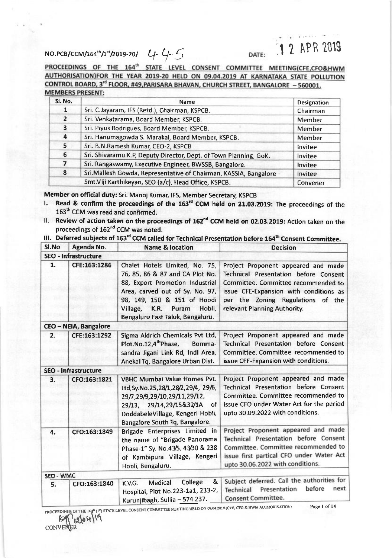## NO.PCB/CCM/164<sup>th</sup>/1<sup>st</sup>/2019-20/  $U+U-5$  DATE: 1 2 APR 2019

PROCEEDINGS OF THE 164<sup>th</sup> STATE LEVEL CONSENT COMMITTEE MEETING(CFE,CFO&HWM AUTHORISATION)FOR THE YEAR 2019-20 HELD ON 09.04.2019 AT KARNATAKA STATE POLLUTION CONTROL BOARD, 3rd FLOOR, #49, PARISARA BHAVAN, CHURCH STREET, BANGALORE - 560001. **MEMBERS PRESENT:** 

| Sl. No.        | Name                                                              | <b>Designation</b> |  |  |
|----------------|-------------------------------------------------------------------|--------------------|--|--|
| 1              | Sri. C.Jayaram, IFS (Retd.), Chairman, KSPCB.                     |                    |  |  |
| $\overline{2}$ | Sri. Venkatarama, Board Member, KSPCB.                            |                    |  |  |
| 3              | Sri. Piyus Rodrigues, Board Member, KSPCB.                        | Member             |  |  |
| 4              | Sri. Hanumagowda S. Marakal, Board Member, KSPCB.                 | Member             |  |  |
| 5              | Sri. B.N.Ramesh Kumar, CEO-2, KSPCB                               | Invitee            |  |  |
| 6              | Sri. Shivaramu.K.P, Deputy Director, Dept. of Town Planning, GoK. | Invitee            |  |  |
| 7              | Sri. Rangaswamy, Executive Engineer, BWSSB, Bangalore.            | Invitee            |  |  |
| 8              | Sri.Mallesh Gowda, Representative of Chairman, KASSIA, Bangalore  | Invitee            |  |  |
|                | Smt.Viji Karthikeyan, SEO (a/c), Head Office, KSPCB.              | Convener           |  |  |

Member on official duty: Sri. Manoj Kumar, IFS, Member Secretary, KSPCB

- 1. Read & confirm the proceedings of the  $163<sup>rd</sup>$  CCM held on 21.03.2019: The proceedings of the 163<sup>th</sup> CCM was read and confirmed.
- II. Review of action taken on the proceedings of 162<sup>nd</sup> CCM held on 02.03.2019: Action taken on the proceedings of 162<sup>nd</sup> CCM was noted.

III. Deferred subjects of 163<sup>rd</sup> CCM called for Technical Presentation before 164<sup>th</sup> Consent Committee.

| SI.No     | Agenda No.                   | <b>Name &amp; location</b>                                                                                                                                                                                                                        | <b>Decision</b>                                                                                                                                                                                                                           |
|-----------|------------------------------|---------------------------------------------------------------------------------------------------------------------------------------------------------------------------------------------------------------------------------------------------|-------------------------------------------------------------------------------------------------------------------------------------------------------------------------------------------------------------------------------------------|
|           | <b>SEO - Infrastructure</b>  |                                                                                                                                                                                                                                                   |                                                                                                                                                                                                                                           |
| 1.        | CFE:163:1286                 | Chalet Hotels Limited, No. 75,<br>76, 85, 86 & 87 and CA Plot No.<br>88, Export Promotion Industrial<br>Area, carved out of Sy. No. 97,<br>98, 149, 150 & 151 of Hoodi<br>Village,<br>K.R.<br>Puram<br>Hobli,<br>Bengaluru East Taluk, Bengaluru. | Project Proponent appeared and made<br><b>Technical Presentation before Consent</b><br>Committee. Committee recommended to<br>issue CFE-Expansion with conditions as<br>per the Zoning Regulations of the<br>relevant Planning Authority. |
|           | <b>CEO - NEIA, Bangalore</b> |                                                                                                                                                                                                                                                   |                                                                                                                                                                                                                                           |
| 2.        | CFE:163:1292                 | Sigma Aldrich Chemicals Pvt Ltd,<br>Plot.No.12,4 <sup>th</sup> Phase, Bomma-<br>sandra Jigani Link Rd, Indl Area,<br>Anekal Tq, Bangalore Urban Dist.                                                                                             | Project Proponent appeared and made<br><b>Technical Presentation before Consent</b><br>Committee. Committee recommended to<br>issue CFE-Expansion with conditions.                                                                        |
|           | <b>SEO - Infrastructure</b>  |                                                                                                                                                                                                                                                   |                                                                                                                                                                                                                                           |
| 3.        | CFO:163:1821                 | <b>VBHC Mumbai Value Homes Pvt.</b><br>Ltd, Sy. No. 25, 28/1, 28/2, 29/4, 29/6,<br>29/7,29/9,29/10,29/11,29/12,<br>29/13, 29/14,29/15&32/1A<br>of<br>DoddabeleVillage, Kengeri Hobli,<br>Bangalore South Tq, Bangalore.                           | Project Proponent appeared and made<br><b>Technical Presentation before Consent</b><br>Committee. Committee recommended to<br>issue CFO under Water Act for the period<br>upto 30.09.2022 with conditions.                                |
| 4.        | CFO:163:1849                 | Brigade Enterprises Limited in<br>the name of "Brigade Panorama<br>Phase-1" Sy. No.43/5, 43/30 & 238<br>of Kambipura Village, Kengeri<br>Hobli, Bengaluru.                                                                                        | Project Proponent appeared and made<br>Technical Presentation before Consent<br>Committee. Committee recommended to<br>issue first partical CFO under Water Act<br>upto 30.06.2022 with conditions.                                       |
| SEO - WMC |                              |                                                                                                                                                                                                                                                   |                                                                                                                                                                                                                                           |
| 5.        | CFO:163:1840                 | &<br>College<br>Medical<br>K.V.G.<br>Hospital, Plot No.223-1a1, 233-2,<br>Kurunjibagh, Sullia - 574 237.                                                                                                                                          | Subject deferred. Call the authorities for<br>before<br>next<br>Presentation<br>Technical<br><b>Consent Committee.</b>                                                                                                                    |

 $log(10^{10}$ **CONVENER**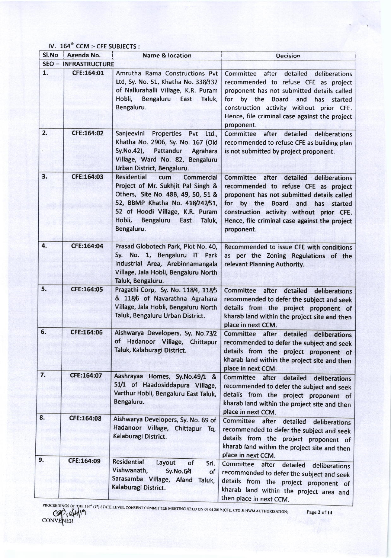IV. 164<sup>th</sup> CCM :- CFE SUBJECTS :

| SI.No | Agenda No.                  | <b>Name &amp; location</b>                                                                                                                                                                                                                              | <b>Decision</b>                                                                                                                                                                                                                                                                                      |  |  |
|-------|-----------------------------|---------------------------------------------------------------------------------------------------------------------------------------------------------------------------------------------------------------------------------------------------------|------------------------------------------------------------------------------------------------------------------------------------------------------------------------------------------------------------------------------------------------------------------------------------------------------|--|--|
|       | <b>SEO - INFRASTRUCTURE</b> |                                                                                                                                                                                                                                                         |                                                                                                                                                                                                                                                                                                      |  |  |
| 1.    | CFE:164:01                  | Amrutha Rama Constructions Pvt<br>Ltd, Sy. No. 51, Khatha No. 338/332<br>of Nallurahalli Village, K.R. Puram<br>Hobli,<br>Bengaluru<br>East<br>Taluk,<br>Bengaluru.                                                                                     | Committee after<br>detailed<br>deliberations<br>recommended to refuse CFE as project<br>proponent has not submitted details called<br>for<br>by the<br><b>Board</b><br>and<br>has started<br>construction activity without prior CFE.<br>Hence, file criminal case against the project<br>proponent. |  |  |
| 2.    | CFE:164:02                  | Sanjeevini Properties Pvt<br>Ltd.,<br>Khatha No. 2906, Sy. No. 167 (Old<br>Sy.No.42),<br>Pattandur<br>Agrahara<br>Village, Ward No. 82, Bengaluru<br>Urban District, Bengaluru.                                                                         | Committee after detailed deliberations<br>recommended to refuse CFE as building plan<br>is not submitted by project proponent.                                                                                                                                                                       |  |  |
| 3.    | CFE:164:03                  | <b>Residential</b><br>cum<br><b>Commercial</b><br>Project of Mr. Sukhjit Pal Singh &<br>Others, Site No. 48B, 49, 50, 51 &<br>52, BBMP Khatha No. 418/242/51,<br>52 of Hoodi Village, K.R. Puram<br>Hobli,<br>Bengaluru<br>East<br>Taluk,<br>Bengaluru. | Committee after<br>detailed<br>deliberations<br>recommended to refuse CFE as project<br>proponent has not submitted details called<br>for by the Board<br>and<br>has started<br>construction activity without prior CFE.<br>Hence, file criminal case against the project<br>proponent.              |  |  |
| 4.    | CFE:164:04                  | Prasad Globotech Park, Plot No. 40,<br>Sy. No. 1, Bengaluru IT Park<br>Industrial Area, Arebinnamangala<br>Village, Jala Hobli, Bengaluru North<br>Taluk, Bengaluru.                                                                                    | Recommended to issue CFE with conditions<br>as per the Zoning Regulations of the<br>relevant Planning Authority.                                                                                                                                                                                     |  |  |
| 5.    | CFE:164:05                  | Pragathi Corp, Sy. No. 118/4, 118/5<br>& 118/6 of Navarathna Agrahara<br>Village, Jala Hobli, Bengaluru North<br>Taluk, Bengaluru Urban District.                                                                                                       | Committee after detailed deliberations<br>recommended to defer the subject and seek<br>details from the project proponent of<br>kharab land within the project site and then<br>place in next CCM.                                                                                                   |  |  |
| 6.    | CFE:164:06                  | Aishwarya Developers, Sy. No.73/2<br>of Hadanoor Village, Chittapur<br>Taluk, Kalaburagi District.                                                                                                                                                      | Committee after detailed<br>deliberations<br>recommended to defer the subject and seek<br>details from the project proponent of<br>kharab land within the project site and then<br>place in next CCM.                                                                                                |  |  |
| 7.    | CFE:164:07                  | Aashrayaa Homes, Sy.No.49/1 &<br>51/1 of Haadosiddapura Village,<br>Varthur Hobli, Bengaluru East Taluk,<br>Bengaluru.                                                                                                                                  | Committee after detailed<br>deliberations<br>recommended to defer the subject and seek<br>details from the project proponent of<br>kharab land within the project site and then<br>place in next CCM.                                                                                                |  |  |
| 8.    | CFE:164:08                  | Aishwarya Developers, Sy. No. 69 of<br>Hadanoor Village, Chittapur Tq,<br>Kalaburagi District.                                                                                                                                                          | Committee after detailed<br>deliberations<br>recommended to defer the subject and seek<br>details from the project proponent of<br>kharab land within the project site and then<br>place in next CCM.                                                                                                |  |  |
| 9.    | CFE:164:09                  | Residential<br>Layout<br>of<br>Sri.<br>Vishwanath,<br>Sy.No.6/4<br>of<br>Sarasamba Village, Aland Taluk,<br>Kalaburagi District.                                                                                                                        | Committee after<br>detailed<br>deliberations<br>recommended to defer the subject and seek<br>details from the project proponent of<br>kharab land within the project area and<br>then place in next CCM.                                                                                             |  |  |

PROCEEDINGS OF THE 164<sup>th</sup> (1<sup>\*</sup>) STATE LEVEL CONSENT COMMITTEE MEETING HELD ON 09.04.2019 (CFE, CFO & HWM AUTHORISATION) Page 2 of 14 CONVENER